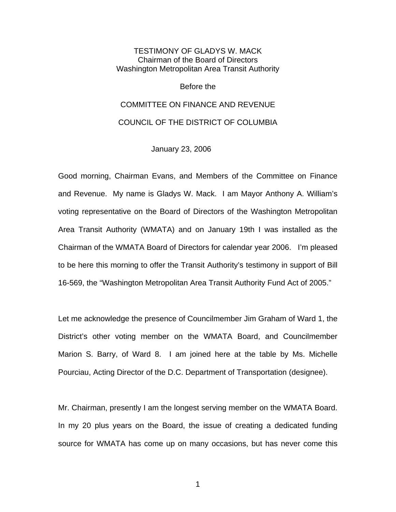## TESTIMONY OF GLADYS W. MACK Chairman of the Board of Directors Washington Metropolitan Area Transit Authority

Before the

## COMMITTEE ON FINANCE AND REVENUE

## COUNCIL OF THE DISTRICT OF COLUMBIA

January 23, 2006

Good morning, Chairman Evans, and Members of the Committee on Finance and Revenue. My name is Gladys W. Mack. I am Mayor Anthony A. William's voting representative on the Board of Directors of the Washington Metropolitan Area Transit Authority (WMATA) and on January 19th I was installed as the Chairman of the WMATA Board of Directors for calendar year 2006. I'm pleased to be here this morning to offer the Transit Authority's testimony in support of Bill 16-569, the "Washington Metropolitan Area Transit Authority Fund Act of 2005."

Let me acknowledge the presence of Councilmember Jim Graham of Ward 1, the District's other voting member on the WMATA Board, and Councilmember Marion S. Barry, of Ward 8. I am joined here at the table by Ms. Michelle Pourciau, Acting Director of the D.C. Department of Transportation (designee).

Mr. Chairman, presently I am the longest serving member on the WMATA Board. In my 20 plus years on the Board, the issue of creating a dedicated funding source for WMATA has come up on many occasions, but has never come this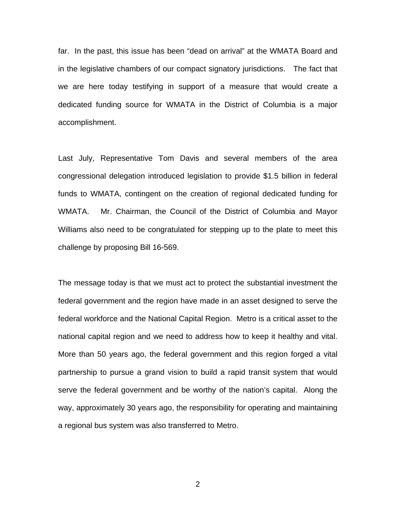far. In the past, this issue has been "dead on arrival" at the WMATA Board and in the legislative chambers of our compact signatory jurisdictions. The fact that we are here today testifying in support of a measure that would create a dedicated funding source for WMATA in the District of Columbia is a major accomplishment.

Last July, Representative Tom Davis and several members of the area congressional delegation introduced legislation to provide \$1.5 billion in federal funds to WMATA, contingent on the creation of regional dedicated funding for WMATA. Mr. Chairman, the Council of the District of Columbia and Mayor Williams also need to be congratulated for stepping up to the plate to meet this challenge by proposing Bill 16-569.

The message today is that we must act to protect the substantial investment the federal government and the region have made in an asset designed to serve the federal workforce and the National Capital Region. Metro is a critical asset to the national capital region and we need to address how to keep it healthy and vital. More than 50 years ago, the federal government and this region forged a vital partnership to pursue a grand vision to build a rapid transit system that would serve the federal government and be worthy of the nation's capital. Along the way, approximately 30 years ago, the responsibility for operating and maintaining a regional bus system was also transferred to Metro.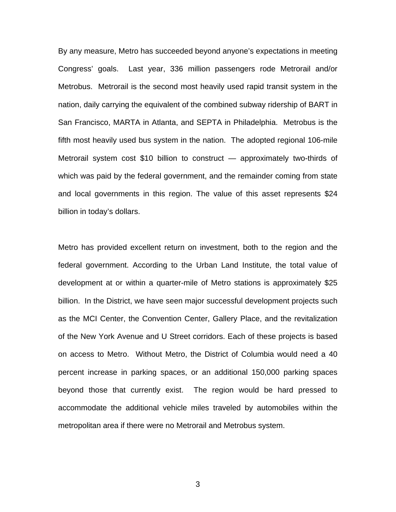By any measure, Metro has succeeded beyond anyone's expectations in meeting Congress' goals. Last year, 336 million passengers rode Metrorail and/or Metrobus. Metrorail is the second most heavily used rapid transit system in the nation, daily carrying the equivalent of the combined subway ridership of BART in San Francisco, MARTA in Atlanta, and SEPTA in Philadelphia. Metrobus is the fifth most heavily used bus system in the nation. The adopted regional 106-mile Metrorail system cost \$10 billion to construct — approximately two-thirds of which was paid by the federal government, and the remainder coming from state and local governments in this region. The value of this asset represents \$24 billion in today's dollars.

Metro has provided excellent return on investment, both to the region and the federal government. According to the Urban Land Institute, the total value of development at or within a quarter-mile of Metro stations is approximately \$25 billion. In the District, we have seen major successful development projects such as the MCI Center, the Convention Center, Gallery Place, and the revitalization of the New York Avenue and U Street corridors. Each of these projects is based on access to Metro. Without Metro, the District of Columbia would need a 40 percent increase in parking spaces, or an additional 150,000 parking spaces beyond those that currently exist. The region would be hard pressed to accommodate the additional vehicle miles traveled by automobiles within the metropolitan area if there were no Metrorail and Metrobus system.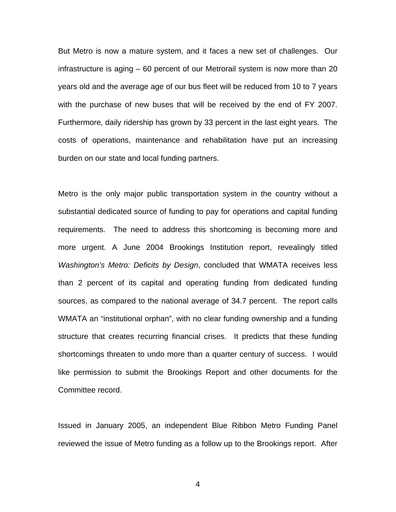But Metro is now a mature system, and it faces a new set of challenges. Our infrastructure is aging – 60 percent of our Metrorail system is now more than 20 years old and the average age of our bus fleet will be reduced from 10 to 7 years with the purchase of new buses that will be received by the end of FY 2007. Furthermore, daily ridership has grown by 33 percent in the last eight years. The costs of operations, maintenance and rehabilitation have put an increasing burden on our state and local funding partners.

Metro is the only major public transportation system in the country without a substantial dedicated source of funding to pay for operations and capital funding requirements. The need to address this shortcoming is becoming more and more urgent. A June 2004 Brookings Institution report, revealingly titled *Washington's Metro: Deficits by Design*, concluded that WMATA receives less than 2 percent of its capital and operating funding from dedicated funding sources, as compared to the national average of 34.7 percent. The report calls WMATA an "institutional orphan", with no clear funding ownership and a funding structure that creates recurring financial crises. It predicts that these funding shortcomings threaten to undo more than a quarter century of success. I would like permission to submit the Brookings Report and other documents for the Committee record.

Issued in January 2005, an independent Blue Ribbon Metro Funding Panel reviewed the issue of Metro funding as a follow up to the Brookings report. After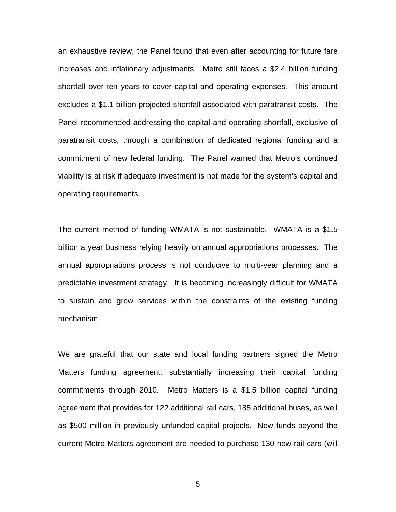an exhaustive review, the Panel found that even after accounting for future fare increases and inflationary adjustments, Metro still faces a \$2.4 billion funding shortfall over ten years to cover capital and operating expenses. This amount excludes a \$1.1 billion projected shortfall associated with paratransit costs. The Panel recommended addressing the capital and operating shortfall, exclusive of paratransit costs, through a combination of dedicated regional funding and a commitment of new federal funding. The Panel warned that Metro's continued viability is at risk if adequate investment is not made for the system's capital and operating requirements.

The current method of funding WMATA is not sustainable. WMATA is a \$1.5 billion a year business relying heavily on annual appropriations processes. The annual appropriations process is not conducive to multi-year planning and a predictable investment strategy. It is becoming increasingly difficult for WMATA to sustain and grow services within the constraints of the existing funding mechanism.

We are grateful that our state and local funding partners signed the Metro Matters funding agreement, substantially increasing their capital funding commitments through 2010. Metro Matters is a \$1.5 billion capital funding agreement that provides for 122 additional rail cars, 185 additional buses, as well as \$500 million in previously unfunded capital projects. New funds beyond the current Metro Matters agreement are needed to purchase 130 new rail cars (will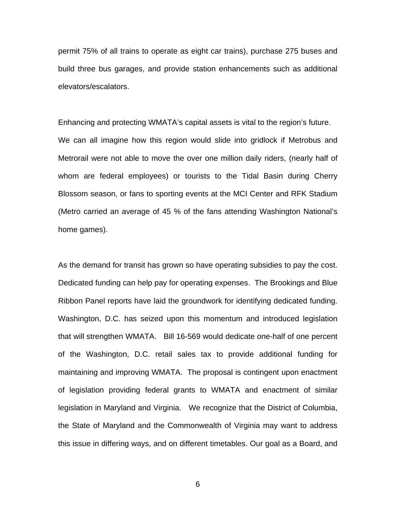permit 75% of all trains to operate as eight car trains), purchase 275 buses and build three bus garages, and provide station enhancements such as additional elevators/escalators.

Enhancing and protecting WMATA's capital assets is vital to the region's future. We can all imagine how this region would slide into gridlock if Metrobus and Metrorail were not able to move the over one million daily riders, (nearly half of whom are federal employees) or tourists to the Tidal Basin during Cherry Blossom season, or fans to sporting events at the MCI Center and RFK Stadium (Metro carried an average of 45 % of the fans attending Washington National's home games).

As the demand for transit has grown so have operating subsidies to pay the cost. Dedicated funding can help pay for operating expenses. The Brookings and Blue Ribbon Panel reports have laid the groundwork for identifying dedicated funding. Washington, D.C. has seized upon this momentum and introduced legislation that will strengthen WMATA. Bill 16-569 would dedicate one-half of one percent of the Washington, D.C. retail sales tax to provide additional funding for maintaining and improving WMATA. The proposal is contingent upon enactment of legislation providing federal grants to WMATA and enactment of similar legislation in Maryland and Virginia. We recognize that the District of Columbia, the State of Maryland and the Commonwealth of Virginia may want to address this issue in differing ways, and on different timetables. Our goal as a Board, and